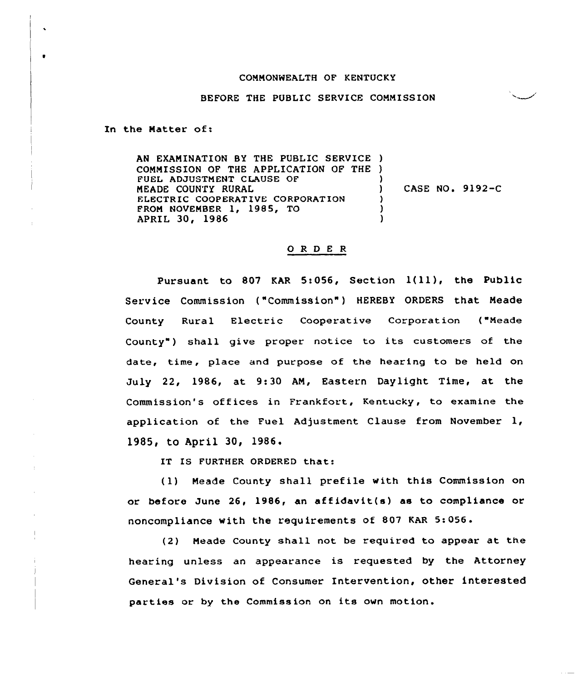## COMMONWEALTH OF KENTUCKY

## BEFORE THE PUBLIC SERVICE COMMISSION

In the Matter of:

 $\bullet$ 

AN EXANINATION BY THE PUBLIC SERVICE ) COMMISSION OF THE APPLICATION OF THE ) FUEL ADJUSTMENT CLAUSE OF NEADE COUNTY RURAL ELECTRIC COOPERATIVE CORPORATION FROM NOVEMBER 1, 1985, TO APRIL 30, 1986 ) CASE NO. 9192-C ) ) )

## 0 <sup>R</sup> <sup>D</sup> <sup>E</sup> <sup>R</sup>

Pursuant to <sup>807</sup> KAR 5:056, Section 1(ll), the Public Service Commission ("Commission" ) HEREBY ORDERS that Neade County Rural Electric Cooperative Corporation ("Meade County") shall give proper notice to its customers of the date, time, place and purpose of the hearing to be held on July 22, 1986, at 9:30 AN, Eastern Daylight Time, at the Commission's offices in Frankfort, Kentucky, to examine the application of the Fuel Adjustment Clause from November  $l_i$ , 1985, to Apri1 30, 1986

IT IS FURTHER ORDERED that:

(1) Neade County shall prefile with this Commission on or before June 26, 1986, an affidavit(s) as to compliance or noncompliance with the requirements of 807 KAR 5:056.

(2) Neade County shall not be required to appear at the hearing unless an appearance is requested by the Attorney General's Division of Consumer Intervention, other interested parties or by the Commission on its own motion.